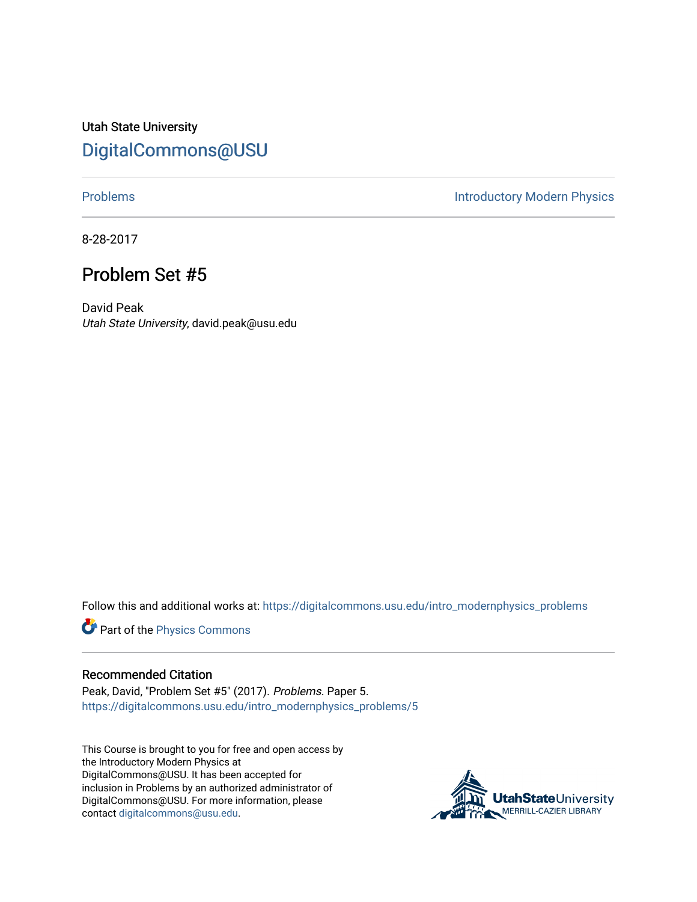Utah State University [DigitalCommons@USU](https://digitalcommons.usu.edu/)

[Problems](https://digitalcommons.usu.edu/intro_modernphysics_problems) **Introductory Modern Physics** 

8-28-2017

## Problem Set #5

David Peak Utah State University, david.peak@usu.edu

Follow this and additional works at: [https://digitalcommons.usu.edu/intro\\_modernphysics\\_problems](https://digitalcommons.usu.edu/intro_modernphysics_problems?utm_source=digitalcommons.usu.edu%2Fintro_modernphysics_problems%2F5&utm_medium=PDF&utm_campaign=PDFCoverPages) 

Part of the [Physics Commons](http://network.bepress.com/hgg/discipline/193?utm_source=digitalcommons.usu.edu%2Fintro_modernphysics_problems%2F5&utm_medium=PDF&utm_campaign=PDFCoverPages)

## Recommended Citation

Peak, David, "Problem Set #5" (2017). Problems. Paper 5. [https://digitalcommons.usu.edu/intro\\_modernphysics\\_problems/5](https://digitalcommons.usu.edu/intro_modernphysics_problems/5?utm_source=digitalcommons.usu.edu%2Fintro_modernphysics_problems%2F5&utm_medium=PDF&utm_campaign=PDFCoverPages)

This Course is brought to you for free and open access by the Introductory Modern Physics at DigitalCommons@USU. It has been accepted for inclusion in Problems by an authorized administrator of DigitalCommons@USU. For more information, please contact [digitalcommons@usu.edu](mailto:digitalcommons@usu.edu).